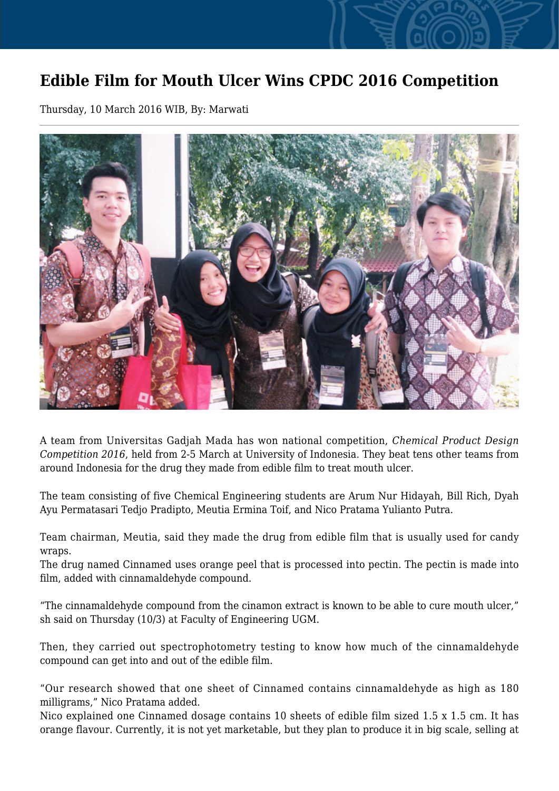## **Edible Film for Mouth Ulcer Wins CPDC 2016 Competition**

Thursday, 10 March 2016 WIB, By: Marwati



A team from Universitas Gadjah Mada has won national competition, *Chemical Product Design Competition 2016*, held from 2-5 March at University of Indonesia. They beat tens other teams from around Indonesia for the drug they made from edible film to treat mouth ulcer.

The team consisting of five Chemical Engineering students are Arum Nur Hidayah, Bill Rich, Dyah Ayu Permatasari Tedjo Pradipto, Meutia Ermina Toif, and Nico Pratama Yulianto Putra.

Team chairman, Meutia, said they made the drug from edible film that is usually used for candy wraps.

The drug named Cinnamed uses orange peel that is processed into pectin. The pectin is made into film, added with cinnamaldehyde compound.

"The cinnamaldehyde compound from the cinamon extract is known to be able to cure mouth ulcer," sh said on Thursday (10/3) at Faculty of Engineering UGM.

Then, they carried out spectrophotometry testing to know how much of the cinnamaldehyde compound can get into and out of the edible film.

"Our research showed that one sheet of Cinnamed contains cinnamaldehyde as high as 180 milligrams," Nico Pratama added.

Nico explained one Cinnamed dosage contains 10 sheets of edible film sized 1.5 x 1.5 cm. It has orange flavour. Currently, it is not yet marketable, but they plan to produce it in big scale, selling at